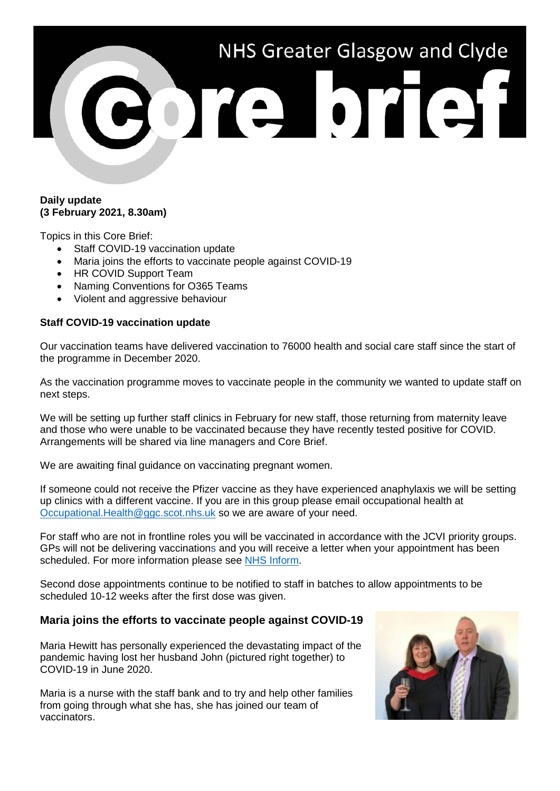# NHS Greater Glasgow and Clyde bre bref

#### **Daily update (3 February 2021, 8.30am)**

Topics in this Core Brief:

- Staff COVID-19 vaccination update
- Maria joins the efforts to vaccinate people against COVID-19
- HR COVID Support Team
- Naming Conventions for O365 Teams
- Violent and aggressive behaviour

### **Staff COVID-19 vaccination update**

Our vaccination teams have delivered vaccination to 76000 health and social care staff since the start of the programme in December 2020.

As the vaccination programme moves to vaccinate people in the community we wanted to update staff on next steps.

We will be setting up further staff clinics in February for new staff, those returning from maternity leave and those who were unable to be vaccinated because they have recently tested positive for COVID. Arrangements will be shared via line managers and Core Brief.

We are awaiting final guidance on vaccinating pregnant women.

If someone could not receive the Pfizer vaccine as they have experienced anaphylaxis we will be setting up clinics with a different vaccine. If you are in this group please email occupational health at [Occupational.Health@ggc.scot.nhs.uk](mailto:Occupational.Health@ggc.scot.nhs.uk) so we are aware of your need.

For staff who are not in frontline roles you will be vaccinated in accordance with the JCVI priority groups. GPs will not be delivering vaccinations and you will receive a letter when your appointment has been scheduled. For more information please see [NHS Inform.](https://www.nhsinform.scot/)

Second dose appointments continue to be notified to staff in batches to allow appointments to be scheduled 10-12 weeks after the first dose was given.

# **Maria joins the efforts to vaccinate people against COVID-19**

Maria Hewitt has personally experienced the devastating impact of the pandemic having lost her husband John (pictured right together) to COVID-19 in June 2020.

Maria is a nurse with the staff bank and to try and help other families from going through what she has, she has joined our team of vaccinators.

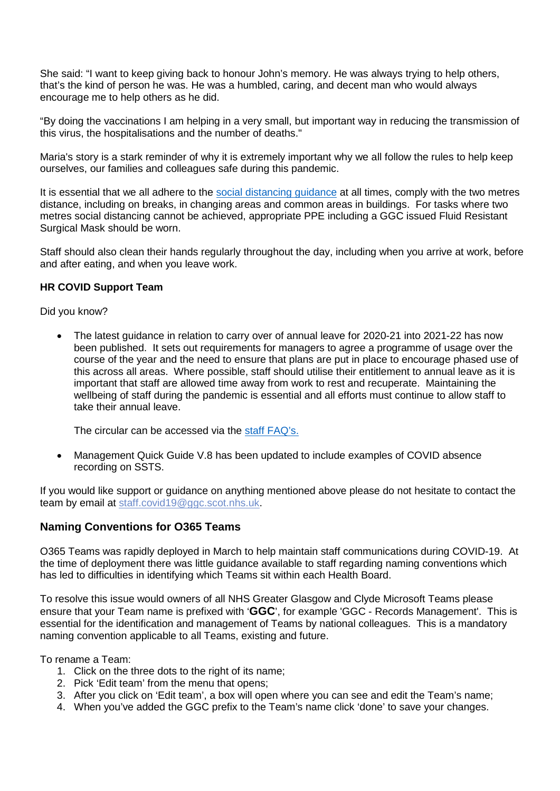She said: "I want to keep giving back to honour John's memory. He was always trying to help others, that's the kind of person he was. He was a humbled, caring, and decent man who would always encourage me to help others as he did.

"By doing the vaccinations I am helping in a very small, but important way in reducing the transmission of this virus, the hospitalisations and the number of deaths."

Maria's story is a stark reminder of why it is extremely important why we all follow the rules to help keep ourselves, our families and colleagues safe during this pandemic.

It is essential that we all adhere to the [social distancing guidance](https://www.nhsggc.org.uk/your-health/health-issues/covid-19-coronavirus/for-nhsggc-staff/social-distancing-in-the-workplace/) at all times, comply with the two metres distance, including on breaks, in changing areas and common areas in buildings. For tasks where two metres social distancing cannot be achieved, appropriate PPE including a GGC issued Fluid Resistant Surgical Mask should be worn.

Staff should also clean their hands regularly throughout the day, including when you arrive at work, before and after eating, and when you leave work.

#### **HR COVID Support Team**

Did you know?

• The latest guidance in relation to carry over of annual leave for 2020-21 into 2021-22 has now been published. It sets out requirements for managers to agree a programme of usage over the course of the year and the need to ensure that plans are put in place to encourage phased use of this across all areas. Where possible, staff should utilise their entitlement to annual leave as it is important that staff are allowed time away from work to rest and recuperate. Maintaining the wellbeing of staff during the pandemic is essential and all efforts must continue to allow staff to take their annual leave.

The circular can be accessed via the [staff FAQ's.](https://www.nhsggc.org.uk/media/264776/faqs-staff-covid.pdf)

• Management Quick Guide V.8 has been updated to include examples of COVID absence recording on SSTS.

If you would like support or guidance on anything mentioned above please do not hesitate to contact the team by email at [staff.covid19@ggc.scot.nhs.uk.](mailto:staff.covid19@ggc.scot.nhs.uk)

# **Naming Conventions for O365 Teams**

O365 Teams was rapidly deployed in March to help maintain staff communications during COVID-19. At the time of deployment there was little guidance available to staff regarding naming conventions which has led to difficulties in identifying which Teams sit within each Health Board.

To resolve this issue would owners of all NHS Greater Glasgow and Clyde Microsoft Teams please ensure that your Team name is prefixed with '**GGC**', for example 'GGC - Records Management'. This is essential for the identification and management of Teams by national colleagues. This is a mandatory naming convention applicable to all Teams, existing and future.

To rename a Team:

- 1. Click on the three dots to the right of its name;
- 2. Pick 'Edit team' from the menu that opens;
- 3. After you click on 'Edit team', a box will open where you can see and edit the Team's name;
- 4. When you've added the GGC prefix to the Team's name click 'done' to save your changes.